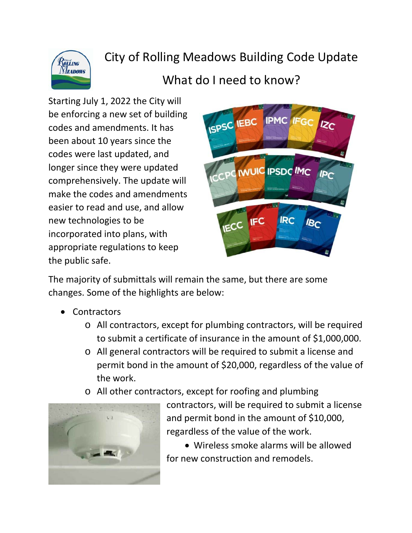

## City of Rolling Meadows Building Code Update

## What do I need to know?

Starting July 1, 2022 the City will be enforcing a new set of building codes and amendments. It has been about 10 years since the codes were last updated, and longer since they were updated comprehensively. The update will make the codes and amendments easier to read and use, and allow new technologies to be incorporated into plans, with appropriate regulations to keep the public safe.



The majority of submittals will remain the same, but there are some changes. Some of the highlights are below:

- Contractors
	- o All contractors, except for plumbing contractors, will be required to submit a certificate of insurance in the amount of \$1,000,000.
	- o All general contractors will be required to submit a license and permit bond in the amount of \$20,000, regardless of the value of the work.
	- o All other contractors, except for roofing and plumbing



contractors, will be required to submit a license and permit bond in the amount of \$10,000, regardless of the value of the work.

• Wireless smoke alarms will be allowed for new construction and remodels.